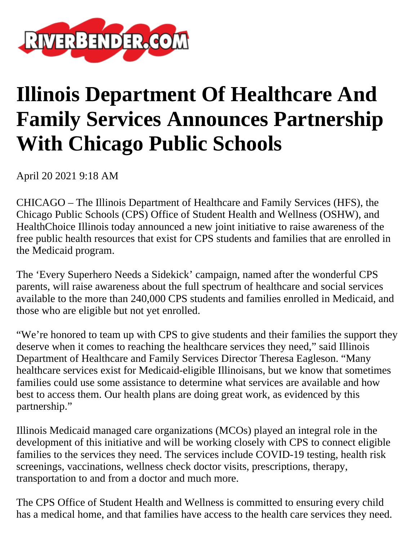

## **Illinois Department Of Healthcare And Family Services Announces Partnership With Chicago Public Schools**

April 20 2021 9:18 AM

CHICAGO – The Illinois Department of Healthcare and Family Services (HFS), the Chicago Public Schools (CPS) Office of Student Health and Wellness (OSHW), and HealthChoice Illinois today announced a new joint initiative to raise awareness of the free public health resources that exist for CPS students and families that are enrolled in the Medicaid program.

The 'Every Superhero Needs a Sidekick' campaign, named after the wonderful CPS parents, will raise awareness about the full spectrum of healthcare and social services available to the more than 240,000 CPS students and families enrolled in Medicaid, and those who are eligible but not yet enrolled.

"We're honored to team up with CPS to give students and their families the support they deserve when it comes to reaching the healthcare services they need," said Illinois Department of Healthcare and Family Services Director Theresa Eagleson. "Many healthcare services exist for Medicaid-eligible Illinoisans, but we know that sometimes families could use some assistance to determine what services are available and how best to access them. Our health plans are doing great work, as evidenced by this partnership."

Illinois Medicaid managed care organizations (MCOs) played an integral role in the development of this initiative and will be working closely with CPS to connect eligible families to the services they need. The services include COVID-19 testing, health risk screenings, vaccinations, wellness check doctor visits, prescriptions, therapy, transportation to and from a doctor and much more.

The CPS Office of Student Health and Wellness is committed to ensuring every child has a medical home, and that families have access to the health care services they need.